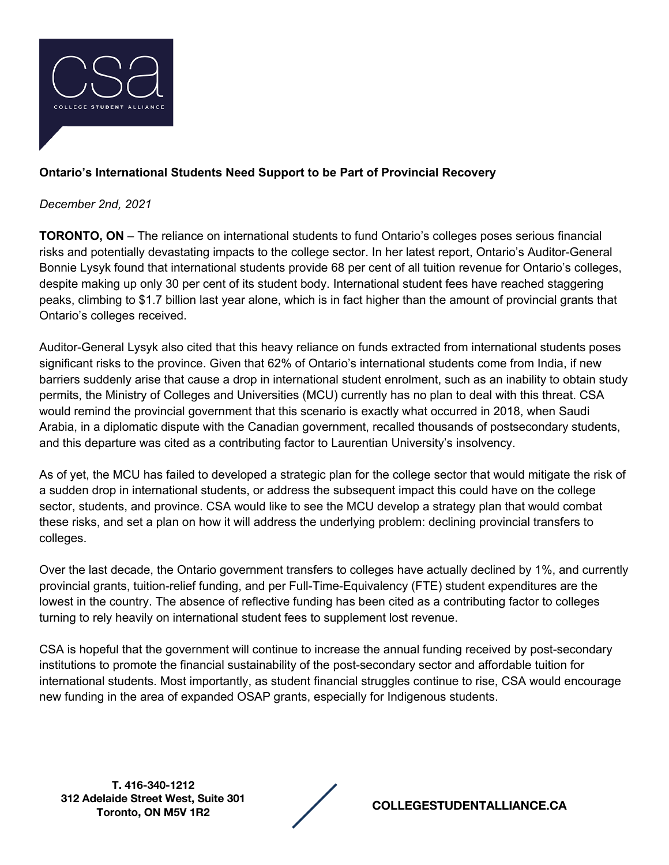

## **Ontario's International Students Need Support to be Part of Provincial Recovery**

## *December 2nd, 2021*

**TORONTO, ON** – The reliance on international students to fund Ontario's colleges poses serious financial risks and potentially devastating impacts to the college sector. In her latest report, Ontario's Auditor-General Bonnie Lysyk found that international students provide 68 per cent of all tuition revenue for Ontario's colleges, despite making up only 30 per cent of its student body. International student fees have reached staggering peaks, climbing to \$1.7 billion last year alone, which is in fact higher than the amount of provincial grants that Ontario's colleges received.

Auditor-General Lysyk also cited that this heavy reliance on funds extracted from international students poses significant risks to the province. Given that 62% of Ontario's international students come from India, if new barriers suddenly arise that cause a drop in international student enrolment, such as an inability to obtain study permits, the Ministry of Colleges and Universities (MCU) currently has no plan to deal with this threat. CSA would remind the provincial government that this scenario is exactly what occurred in 2018, when Saudi Arabia, in a diplomatic dispute with the Canadian government, recalled thousands of postsecondary students, and this departure was cited as a contributing factor to Laurentian University's insolvency.

As of yet, the MCU has failed to developed a strategic plan for the college sector that would mitigate the risk of a sudden drop in international students, or address the subsequent impact this could have on the college sector, students, and province. CSA would like to see the MCU develop a strategy plan that would combat these risks, and set a plan on how it will address the underlying problem: declining provincial transfers to colleges.

Over the last decade, the Ontario government transfers to colleges have actually declined by 1%, and currently provincial grants, tuition-relief funding, and per Full-Time-Equivalency (FTE) student expenditures are the lowest in the country. The absence of reflective funding has been cited as a contributing factor to colleges turning to rely heavily on international student fees to supplement lost revenue.

CSA is hopeful that the government will continue to increase the annual funding received by post-secondary institutions to promote the financial sustainability of the post-secondary sector and affordable tuition for international students. Most importantly, as student financial struggles continue to rise, CSA would encourage new funding in the area of expanded OSAP grants, especially for Indigenous students.

**T. 416-340-1212 312 Adelaide Street West, Suite 301** 

**Toronto, ON M5V 1R2 COLLEGESTUDENTALLIANCE.CA**